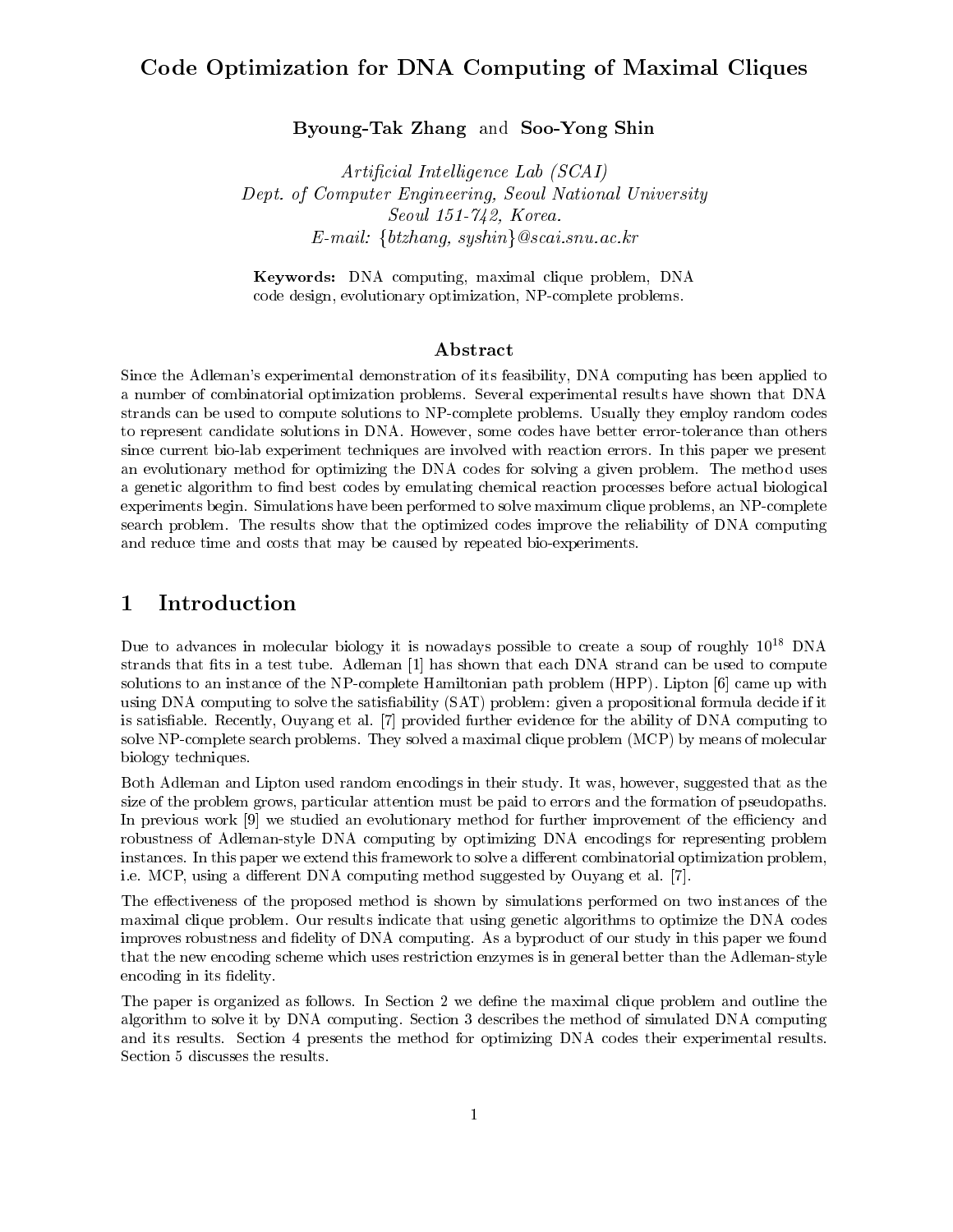## Code Optimization for DNA Computing of Maximal Cliques

Byoung-Tak Zhang and Soo-Yong Shin

Arti-cial Intel ligence Lab SCAI Dept. of Computer Engineering, Seoul National University Seoul  Korea  $E$ -mail: {btzhang, syshin} @scai.snu.ac.kr

Keywords- DNA computing- maximal clique problem- DNA evolution-graphic contraction- problems at the construction- problems and the problems of the contract of the contract of the contract of the contract of the contract of the contract of the contract of the contract of the

### Abstract

Since the Adlemans experimental demonstration of its feasibility- DNA computing has been applied to a number of combinatorial optimization problems Several experimental results have shown that DNA strands can be used to compute solutions to NP-complete problems. Usually they employ random codes to represent candidates some codes as problems in Anahowever-Codes have the codes have better errortolerance t since current bio-lab experiment techniques are involved with reaction errors. In this paper we present an evolutionary method for optimizing the DNA codes for solving a given problem. The method uses a genetic algorithm to find best codes by emulating chemical reaction processes before actual biological experiments begin Simulations have been performed to solve maximum clique problems- an NPcomplete search problem. The results show that the optimized codes improve the reliability of DNA computing and reduce time and costs that may be caused by repeated bio-experiments.

#### Introduction  $\mathbf 1$

Due to advances in molecular biology itis nowadays possible to create a soup of roughly -DNA strands that the transfer that the test that each discussion of the strand can be used to compute the used to compute solutions to an instance of the NPCOMPLET Hamiltonian path problem HPPP Liptonian path problem HPPP Lipton  $\mathbb{R}$ using DNA computing to solve the satisfiability (SAT) problem: given a propositional formula decide if it is satisfaction and provided further evidence further evidence further evidence for the ability of DNA computing to DNA computing to DNA computing to DNA computing to DNA computing to DNA computing to DNA computing to DNA solve NP-complete search problems. They solved a maximal clique problem (MCP) by means of molecular biology techniques

Both Adleman and Lipton used random encodings in their study It was- however- suggested that as the size of the problem grows- particular attention must be paid to errors and the formation of pseudopaths In previous work is a evolution of the evolutionary method for further improvement of the economic and the eco robustness of Adlemanstyle DNA computing by optimizing DNA encodings for representing problem instances. In this paper we extend this framework to solve a different combinatorial optimization problem, ie met die eerste die eerste die eerste belang met die registe belang van die gewone van die eerste belang et

The effectiveness of the proposed method is shown by simulations performed on two instances of the maximal clique problem. Our results indicate that using genetic algorithms to optimize the DNA codes improves robustness and fidelity of DNA computing. As a byproduct of our study in this paper we found that the new encoding scheme which uses restriction enzymes is in general better than the Adleman-style encoding in its fidelity.

The paper is organized as follows. In Section 2 we define the maximal clique problem and outline the algorithm to solve it by DNA computing. Section 3 describes the method of simulated DNA computing and its results. Section 4 presents the method for optimizing DNA codes their experimental results. Section 5 discusses the results.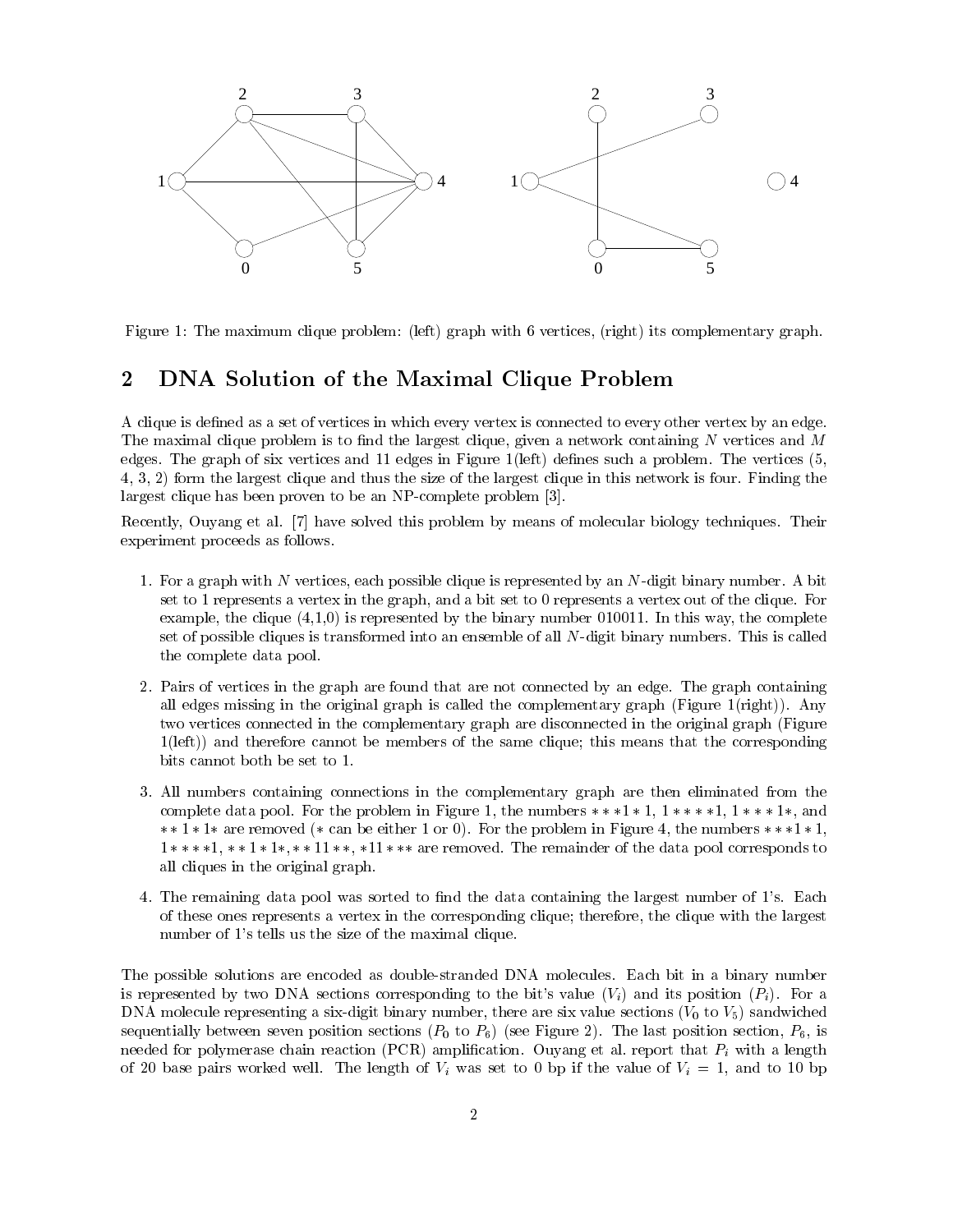

 $F$  and maximum clique problem in the maximum clique problem in the maximum clique  $F$ 

#### DNA Solution of the Maximal Clique Problem  $\overline{2}$

A clique is defined as a set of vertices in which every vertex is connected to every other vertex by an edge. The maximal clique problem is to nd the largest clique- given a network containing N vertices and M edges. The graph of six vertices and 11 edges in Figure 1(left) defines such a problem. The vertices  $(5, 1)$  $\mathbf{f}$  ,  $\mathbf{f}$  , and the largest clique and the size of the largest clique in this network is four  $\mathbf{f}$  the size of the largest clique is four  $\mathbf{f}$ largest clique has been proven to be an NP-complete problem [3].

Recently- Ouyang et al have solved this problem by means of molecular biology techniques Their experiment proceeds as follows

- For a graph with N vertices- each possible clique is represented by an Ndigit binary number A bit set to a bipart fair settlement in the graphs, which it set to a bipart fair of the clique Formulation Formula examples the clique (strict at clipped basic of the complete the complete and then this year complete. In this set of possible cliques is transformed into an ensemble of all N-digit binary numbers. This is called the complete data pool
- 2. Pairs of vertices in the graph are found that are not connected by an edge. The graph containing all edges missing in the original graph is called the complementary graph (Figure  $1$ (right)). Any two vertices connected in the complementary graph are disconnected in the original graph (Figure  $1(left)$  and therefore cannot be members of the same clique; this means that the corresponding bits cannot both be set to 1.
- All numbers containing connections in the complementary graph are then eliminated from the complete data pool For the problem in Figure - the numbers - - - and  $\cdots$  . The correction of comparison of  $\alpha$  is the problem in Figure 1, and numbers  $\cdots$  . If  $\alpha$  - - - are removed The remainder of the data pool corresponds to all cliques in the original graph
- 4. The remaining data pool was sorted to find the data containing the largest number of 1's. Each of these ones representative a vertex in the corresponding the part theory that the largest the largest with the largest  $\sim$ number of 1's tells us the size of the maximal clique.

The possible solutions are encoded as double-stranded DNA molecules. Each bit in a binary number is represented by two DNA sections corresponding to the bit's value  $(V_i)$  and its position  $(P_i)$ . For a DNA molecule representing a sixdigit binary number- there are six value sections V to V sandwiched  $\mathbb{R}$  is the last position section section section section section section section section section section sectionneeded for polymerase chain reaction (PCR) amplification. Ouyang et al. report that  $P_i$  with a length of the length of the length of Vi was set to be and the via the value of  $\mathcal{U}$  . The value of  $\mathcal{U}$  is the value of  $\mathcal{U}$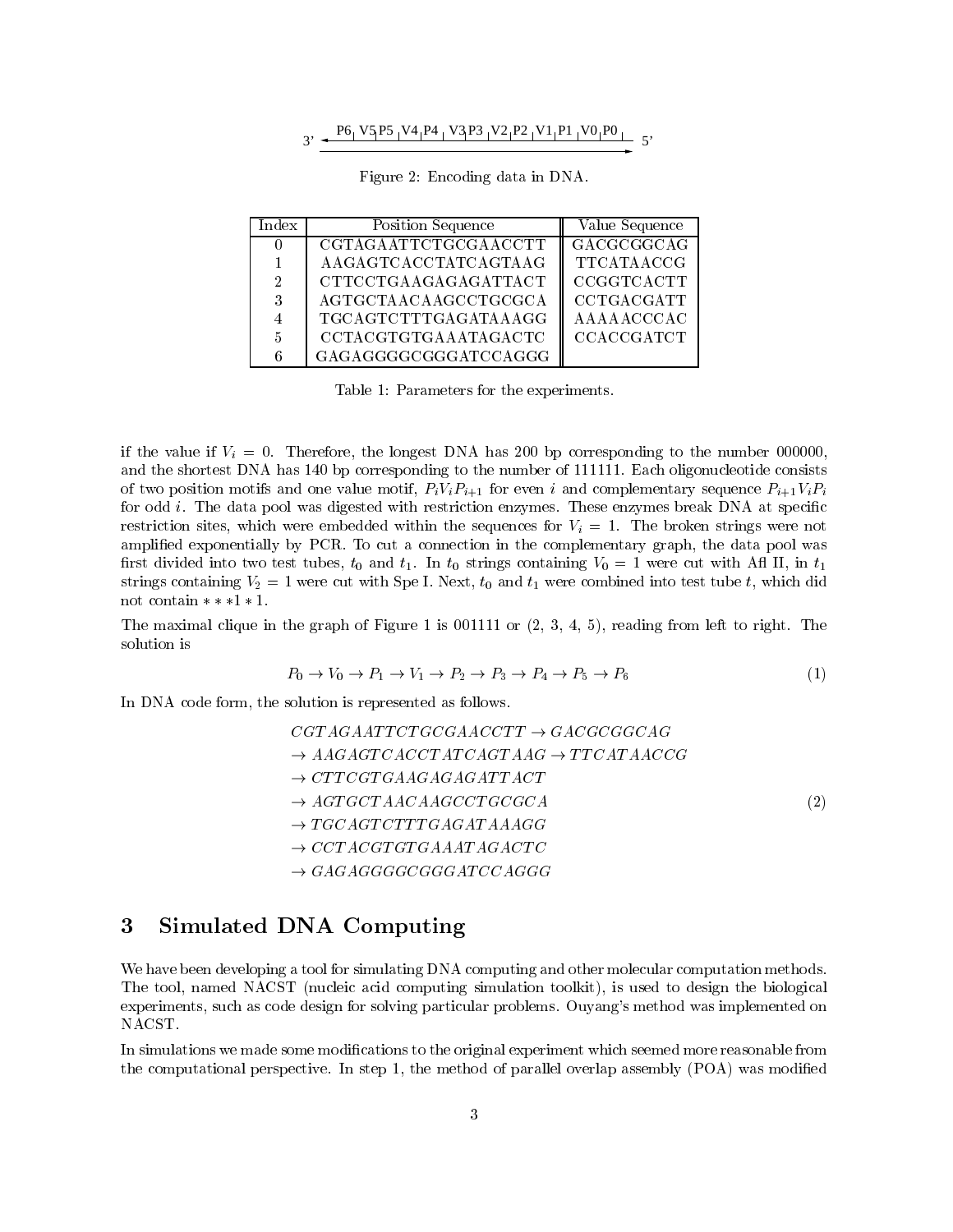$$
3' \leftarrow \frac{P6 \cdot V5 \cdot P5 \cdot V4 \cdot P4 \cdot V3 \cdot P3 \cdot V2 \cdot P2 \cdot V1 \cdot P1 \cdot V0 \cdot P0}{5'}
$$

| $_{\mathrm{Index}}$ | <b>Position Sequence</b> | Value Sequence    |
|---------------------|--------------------------|-------------------|
|                     | CGTAGAATTCTGCGAACCTT     | GACGCGGCAG        |
|                     | AAGAGTCACCTATCAGTAAG     | TTCATAACCG        |
| 2                   | CTTCCTGAAGAGAGATTACT     | CCGGTCACTT        |
| 3                   | AGTGCTAACAAGCCTGCGCA     | CCTGACGATT        |
|                     | TGCAGTCTTTGAGATAAAGG     | AAAAACCCAC        |
| 5                   | CCTACGTGTGAAATAGACTC     | <b>CCACCGATCT</b> |
|                     | GAGAGGGGGGGGATCCAGGG     |                   |

Figure 2: Encoding data in DNA.

Table 1: Parameters for the experiments.

if the longest  $V$  . Therefore- the longest Data has DNA has showned to the number of addition and the shortest DNA has 140 bp corresponding to the number of 111111. Each oligonucleotide consists of two position motifs and one value motify  $\{r_{i}\}_{i=1}$  for even i and complementary sequence Pilitical for odd i. The data pool was digested with restriction enzymes. These enzymes break DNA at specific restriction sites-which were embedded with the sequences for Vi in Vietner strings were not via the broken str amplied exponentially by PCR To cut a connection in the complementary graph- the data pool was rst divided into the two two theories and the Second Containing V with A II-II-II and the two test test of the strings containing V were cut with Special U  $\mu$  and the test test tube test tube tube to the special measurement. not contain  $**+1*1$ .

 $\mathbf{u}$  is the graph of  $\mathbf{u}$  is a strong from left to right Theorem is  $\mathbf{u}$ solution is

$$
P_0 \to V_0 \to P_1 \to V_1 \to P_2 \to P_3 \to P_4 \to P_5 \to P_6 \tag{1}
$$

In DNA code form-discovery production is represented as follows as follows as follows as follows as follows as

$$
CGTAGAATTCTGCGAACCTT \rightarrow GACGCGGCAG
$$
  
\n
$$
\rightarrow AAGAGTCACCTATCAGTAAG \rightarrow TTCATAACCG
$$
  
\n
$$
\rightarrow CTTCGTGAAGAGAGATTACT
$$
  
\n
$$
\rightarrow AGTGCTAACAAGCCTGCGCA
$$
  
\n
$$
\rightarrow TGCAGTCTTTGAGATAAGGG
$$
  
\n
$$
\rightarrow CCTACGTGTAAATAGACTC
$$
  
\n
$$
\rightarrow GAGAGGGGGGGATCCAGGG
$$

#### 3 Simulated DNA Computing

We have been developing a tool for simulating DNA computing and other molecular computation methods. The total-medicine acid computing simulation to design the biological computing the biological computing the biological experiments - such as code design for solving particular problems Ouyangs method was implemented on NACST

In simulations we made some modifications to the original experiment which seemed more reasonable from the computation perspective In step -; the method of parallel overlap assembly (= ---) was modied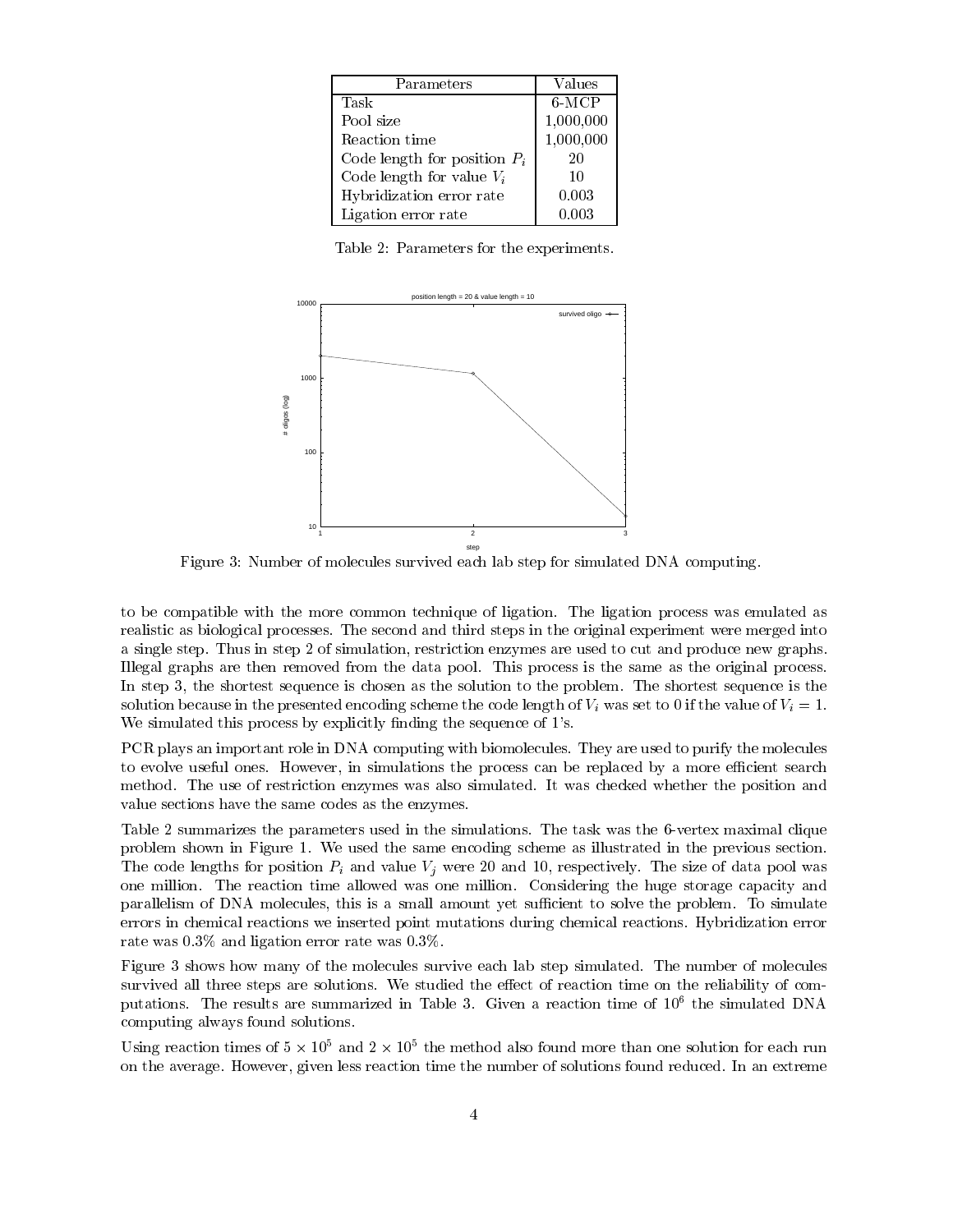| Parameters                     | Values    |
|--------------------------------|-----------|
| Task                           | $6-MCP$   |
| Pool size                      | 1,000,000 |
| Reaction time                  | 1,000,000 |
| Code length for position $P_i$ | 20        |
| Code length for value $V_i$    | 10        |
| Hybridization error rate       | 0.003     |
| Ligation error rate            | 0.003     |

Table 2: Parameters for the experiments.



Figure 3: Number of molecules survived each lab step for simulated DNA computing.

to be compatible with the more common technique of ligation The ligation process was emulated as realistic as biological processes The second and third steps in the original experiment were merged into a single step Thus in step of simulation- restriction enzymes are used to cut and produce new graphs Illegal graphs are then removed from the data pool. This process is the same as the original process. In step - the shortest sequence is chosen as the solution to the problem The shortest sequence is the solution because in the presented encoding scheme the code length of  $V_i$  was set to 0 if the value of  $V_i = 1$ . We simulated this process by explicitly finding the sequence of  $1$ 's.

PCR plays an important role in DNA computing with biomolecules. They are used to purify the molecules to evolve motions the process can be replaced by a more process can be replaced by a more complete search of method. The use of restriction enzymes was also simulated. It was checked whether the position and value sections have the same codes as the enzymes

Table 2 summarizes the parameters used in the simulations. The task was the 6-vertex maximal clique problem shown in Figure 1. We used the same encoding scheme as illustrated in the previous section. The code lengths for position Pi and value Vj were and - respectively The size of data pool was one million. The reaction time allowed was one million. Considering the huge storage capacity and parallelism of DAA molecules- this is a small amount yet such that is a small problem To simulated the problem To errors in chemical reactions we inserted point mutations during chemical reactions Hybridization error rate was  $0.3\%$  and ligation error rate was  $0.3\%$ .

Figure 3 shows how many of the molecules survive each lab step simulated. The number of molecules survived all three steps are solutions. We studied the effect of reaction time on the reliability of computations The results are summarized in Table Given a reaction time of the simulated DNA computing always found solutions

Using reaction times of  $3 \times 10^{-3}$  and  $2 \times 10^{-3}$  the method also found more than one solution for each run on the average However- given less reaction time the number of solutions found reduced In an extreme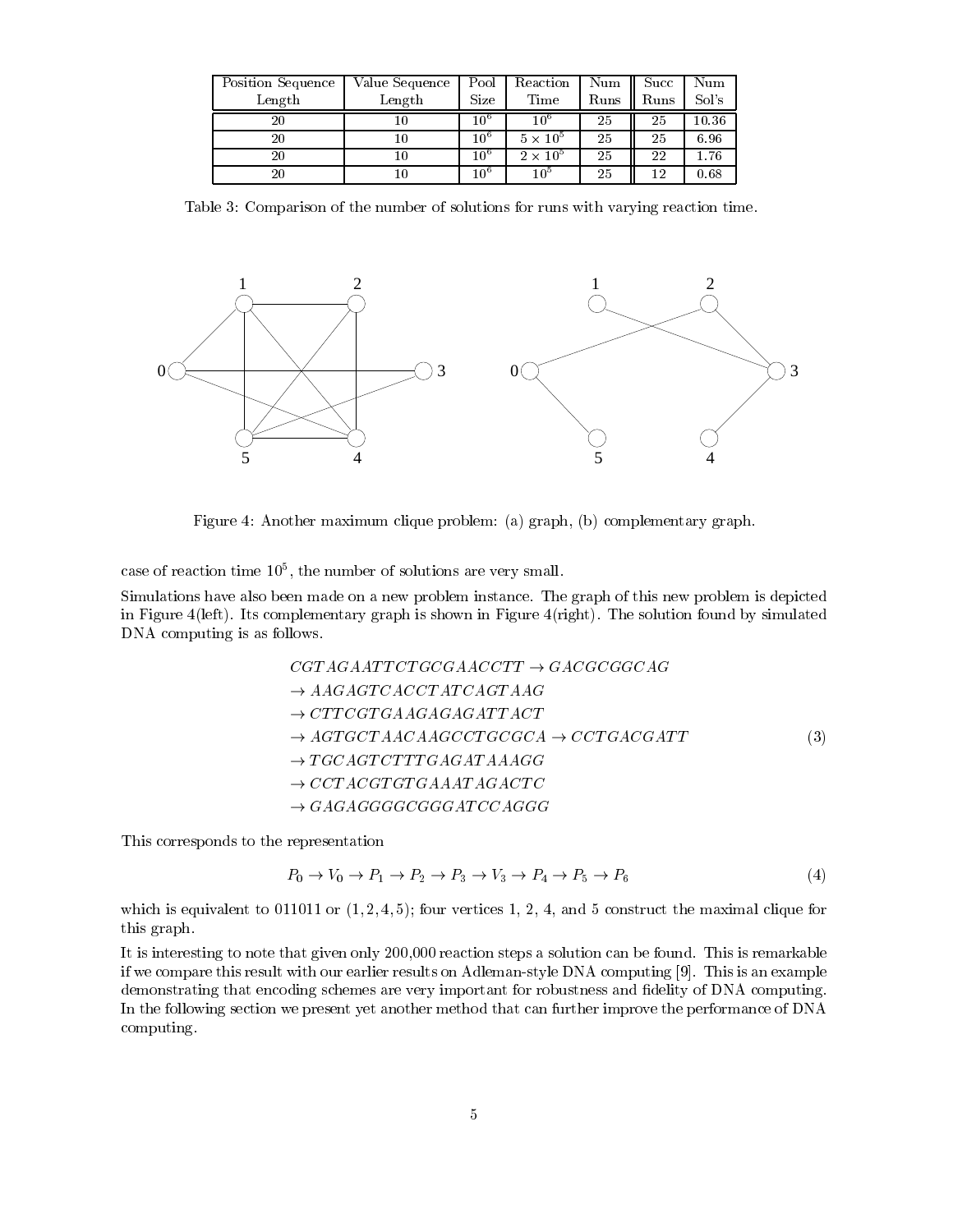| <b>Position Sequence</b> | Value Sequence | Pool         | Reaction        | Num  | $\operatorname{Succ}$ | Num       |
|--------------------------|----------------|--------------|-----------------|------|-----------------------|-----------|
| Length                   | Length         | Size         | Time            | Runs | Runs                  | Sol's     |
| 20                       |                | $10^{\circ}$ | 10°             | 25   | 25                    | $10.36\,$ |
| 20                       |                | $10^{\circ}$ | $5 \times 10^5$ | 25   | 25                    | 6.96      |
| 20                       |                | $10^{\circ}$ | $2 \times 10^5$ | 25   | 22                    | 1.76      |
| $\rm 20$                 |                | $10^{\circ}$ | 10 <sup>5</sup> | 25   | 12                    | 0.68      |

Table 3: Comparison of the number of solutions for runs with varying reaction time.



Figure Another maximum clique problem a graph- b complementary graph

case of reaction time Tu-, the number of solutions are very small.

Simulations have also been made on a new problem instance The graph of this new problem is depicted in Figure 4(left). Its complementary graph is shown in Figure 4(right). The solution found by simulated DNA computing is as follows

$$
CGTAGAATTCTGCGAACCTT \rightarrow GACGCGGCAG
$$
  
\n
$$
\rightarrow AAGAGTCACCTATCAGTAAG
$$
  
\n
$$
\rightarrow CTTCGTGAAGAGAGATTACT
$$
  
\n
$$
\rightarrow AGTGCTAACAAGCCTGCCGCA \rightarrow CCTGACGATT
$$
  
\n
$$
\rightarrow TGCAGTCTTTGAGATAAAGG
$$
  
\n
$$
\rightarrow CCTACGTGTGAAATAGACTC
$$
  
\n
$$
\rightarrow GAGAGGGGGGGATCCAGGG
$$

This corresponds to the representation

$$
P_0 \to V_0 \to P_1 \to P_2 \to P_3 \to V_3 \to P_4 \to P_5 \to P_6 \tag{4}
$$

which is equivalent to the maximal clips  $\mathcal{A}(\mathbf{r})$  is the maximal construction for an intermediate for  $\mathcal{A}(\mathbf{r})$ this graph

. It is interesting to note that given only -the found This is remarked that is remarkable is remarkable to if we compare them the with virtual and address the mass computing  $\alpha$  , and a computing  $\alpha$  and the computing  $\alpha$ demonstrating that encoding schemes are very important for robustness and fidelity of DNA computing. In the following section we present yet another method that can further improve the performance of DNA computing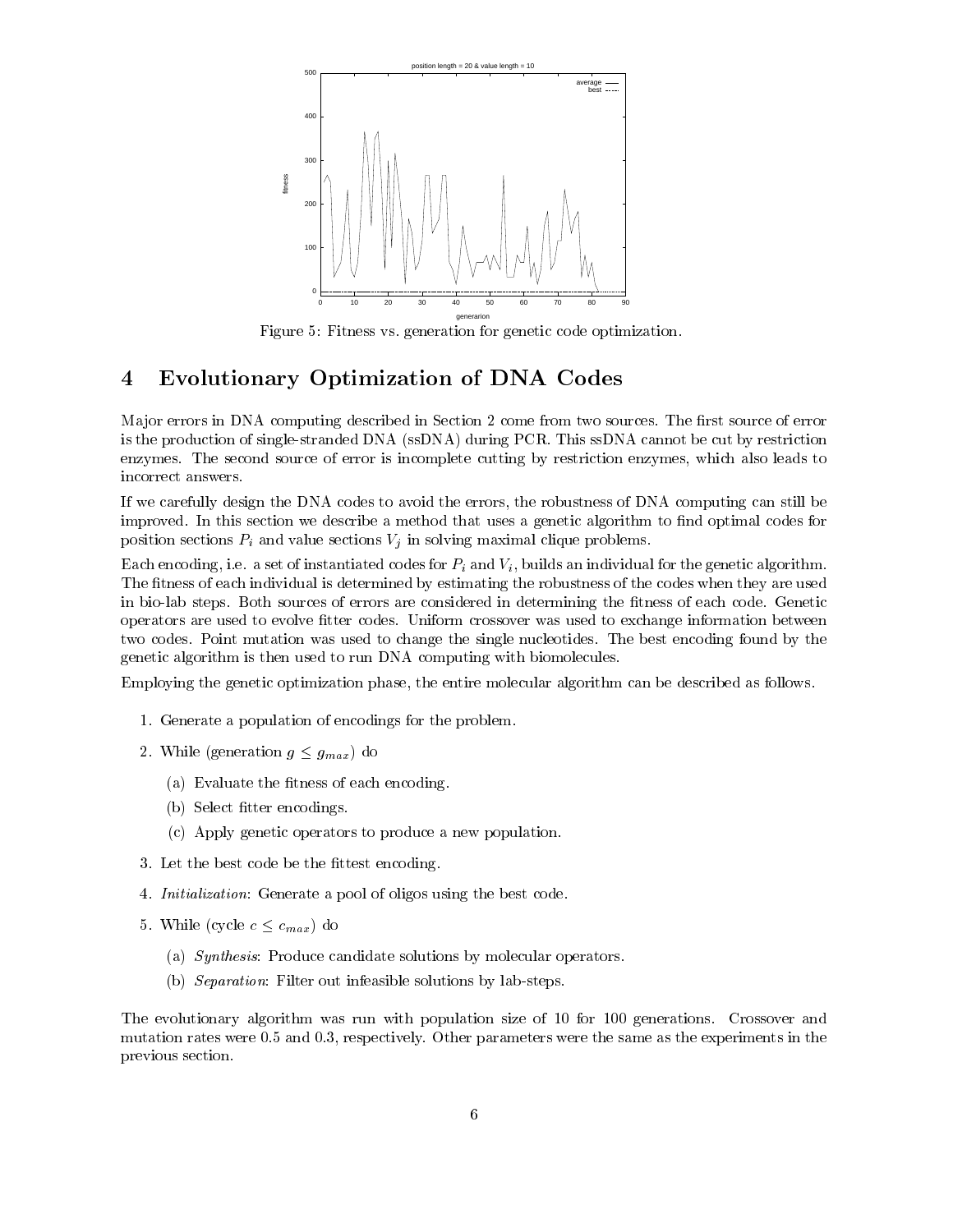

Figure 5: Fitness vs. generation for genetic code optimization.

# Evolutionary Optimization of DNA Codes

Major errors in DNA computing described in Section 2 come from two sources. The first source of error is the production of single-stranded  $DNA$  (ssDNA) during PCR. This ssDNA cannot be cut by restriction enzymes The second source of error is incomplete cutting by restriction enzymes- which also leads to incorrect answers

if we can compute the DNA codes to avoid the errors-the errors-computing can still be expected the computing ca improved. In this section we describe a method that uses a genetic algorithm to find optimal codes for position sections  $P_i$  and value sections  $V_j$  in solving maximal clique problems.

encoding- is a set of instantiated codes for Pi and Vi - and Vi - and Vi - and Vi - and Vi - and Vi - and Vi -The fitness of each individual is determined by estimating the robustness of the codes when they are used in bio-lab steps. Both sources of errors are considered in determining the fitness of each code. Genetic operators are used to evolve fitter codes. Uniform crossover was used to exchange information between two codes. Point mutation was used to change the single nucleotides. The best encoding found by the genetic algorithm is then used to run DNA computing with biomolecules

Employing the genetic optimization phase- the entire molecular algorithm can be described as follows

- 1. Generate a population of encodings for the problem.
- 2. While (generation  $g \leq g_{max}$ ) do
	- (a) Evaluate the fitness of each encoding.
	- (b) Select fitter encodings.
	- c Apply genetic operators to produce a new population
- 3. Let the best code be the fittest encoding.
- 4. *Initialization*: Generate a pool of oligos using the best code.
- 5. While (cycle  $c \leq c_{max}$ ) do
	- (a) Synthesis: Produce candidate solutions by molecular operators.
	- (b) *Separation*: Filter out infeasible solutions by lab-steps.

The evolutionary algorithm was run with population size of 10 for 100 generations. Crossover and mutation rates were and - respectively Other parameters were the same as the experiments in the previous section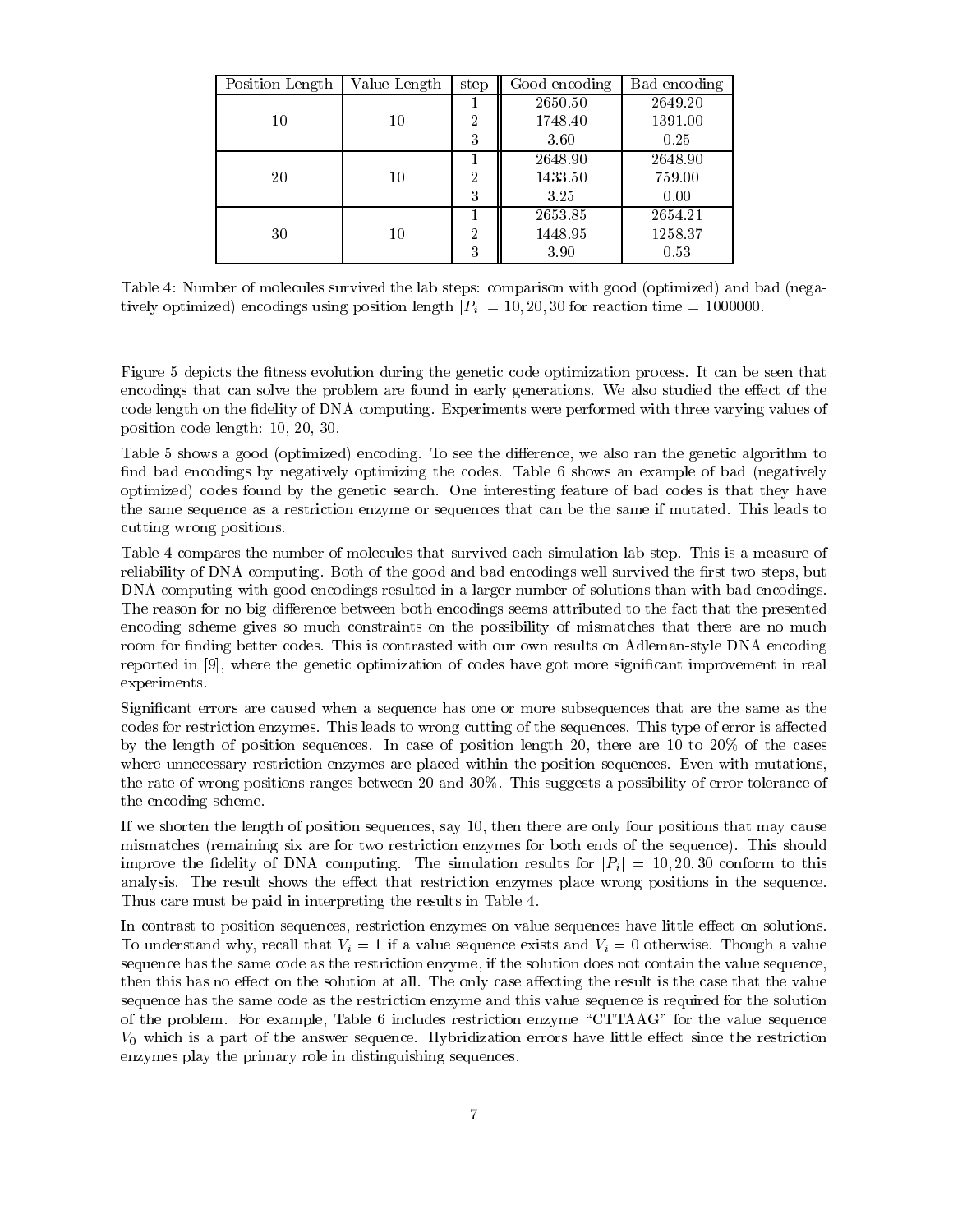| Position Length | Value Length | step           | Good encoding | Bad encoding |
|-----------------|--------------|----------------|---------------|--------------|
|                 |              |                | 2650.50       | 2649.20      |
| 10              | 10           | $\overline{2}$ | 1748.40       | 1391.00      |
|                 |              | 3              | 3.60          | 0.25         |
|                 |              |                | 2648.90       | 2648.90      |
| 20              | 10           | $\overline{2}$ | 1433.50       | 759.00       |
|                 |              | 3              | 3.25          | 0.00         |
|                 |              |                | 2653.85       | 2654.21      |
| 30              | 10           | $\overline{2}$ | 1448.95       | 1258.37      |
|                 |              | 3              | 3.90          | 0.53         |

Table 4: Number of molecules survived the lab steps: comparison with good (optimized) and bad (negatively optimized in the matrix  $\alpha$  position times in  $\alpha$  is a specified in the contract of the conduct  $\alpha$ 

Figure 5 depicts the fitness evolution during the genetic code optimization process. It can be seen that encodings that can solve the problem are found in early generations. We also studied the effect of the code length on the fidelity of DNA computing. Experiments were performed with three varying values of position code length - -

Table shows a good optimized encoding To see the dierence- we also ran the genetic algorithm to find bad encodings by negatively optimizing the codes. Table  $6$  shows an example of bad (negatively optimized codes found by the genetic search One interesting feature of bad codes is that they have the same sequence as a restriction enzyme or sequences that can be the same if mutated. This leads to cutting wrong positions

Table 4 compares the number of molecules that survived each simulation lab-step. This is a measure of reliability of DNA computing Both of the good and bad encodings well survived the rate of the religion of the DNA computing with good encodings resulted in a larger number of solutions than with bad encodings The reason for no big difference between both encodings seems attributed to the fact that the presented encoding scheme gives so much constraints on the possibility of mismatches that there are no much room for finding better codes. This is contrasted with our own results on Adleman-style DNA encoding reported in - where the genetic optimization of codes have got more signicant improvement in real experiments

Signicant errors are caused when a sequence has one or more subsequences that are the same as the codes for restriction enzymes. This leads to wrong cutting of the sequences. This type of error is affected  $\alpha$  is a complete sequence in the case of position length -  $\alpha$  , the case  $\alpha$  is the cases of the cases of the cases of the cases of the cases of the cases of the cases of the cases of the cases of the cases of the ca where unnecessary restriction enzymes are placed within the position sequences. Even with mutations, the rate of wrong positions ranges between 20 and  $30\%$ . This suggests a possibility of error tolerance of the encoding scheme

if we shorten the length of position sequences the length cause the same position is the many four positions o mismatches (remaining six are for two restriction enzymes for both ends of the sequence). This should improve the delity of DNA computing The simulation results for jPi j jPi j jPi j jPi j jPi j jPi j jPi j jPi j analysis. The result shows the effect that restriction enzymes place wrong positions in the sequence. Thus care must be paid in interpreting the results in Table 4.

In contrast to position sequences- restriction enzymes on value sequences have little eect on solutions To understand why-recall that Vi if a value sequence and Vi otherwise  $\mathcal{L}_i$  otherwise Thomas Walley and Vi sequence has the same code as the restriction enzyme- if the solution does not contain the value sequencethen this has no effect on the solution at all. The only case affecting the result is the case that the value sequence has the same code as the restriction enzyme and this value sequence is required for the solution of the problem For example- Table includes restriction enzyme CTTAAG for the value sequence  $V_0$  which is a part of the answer sequence. Hybridization errors have little effect since the restriction enzymes play the primary role in distinguishing sequences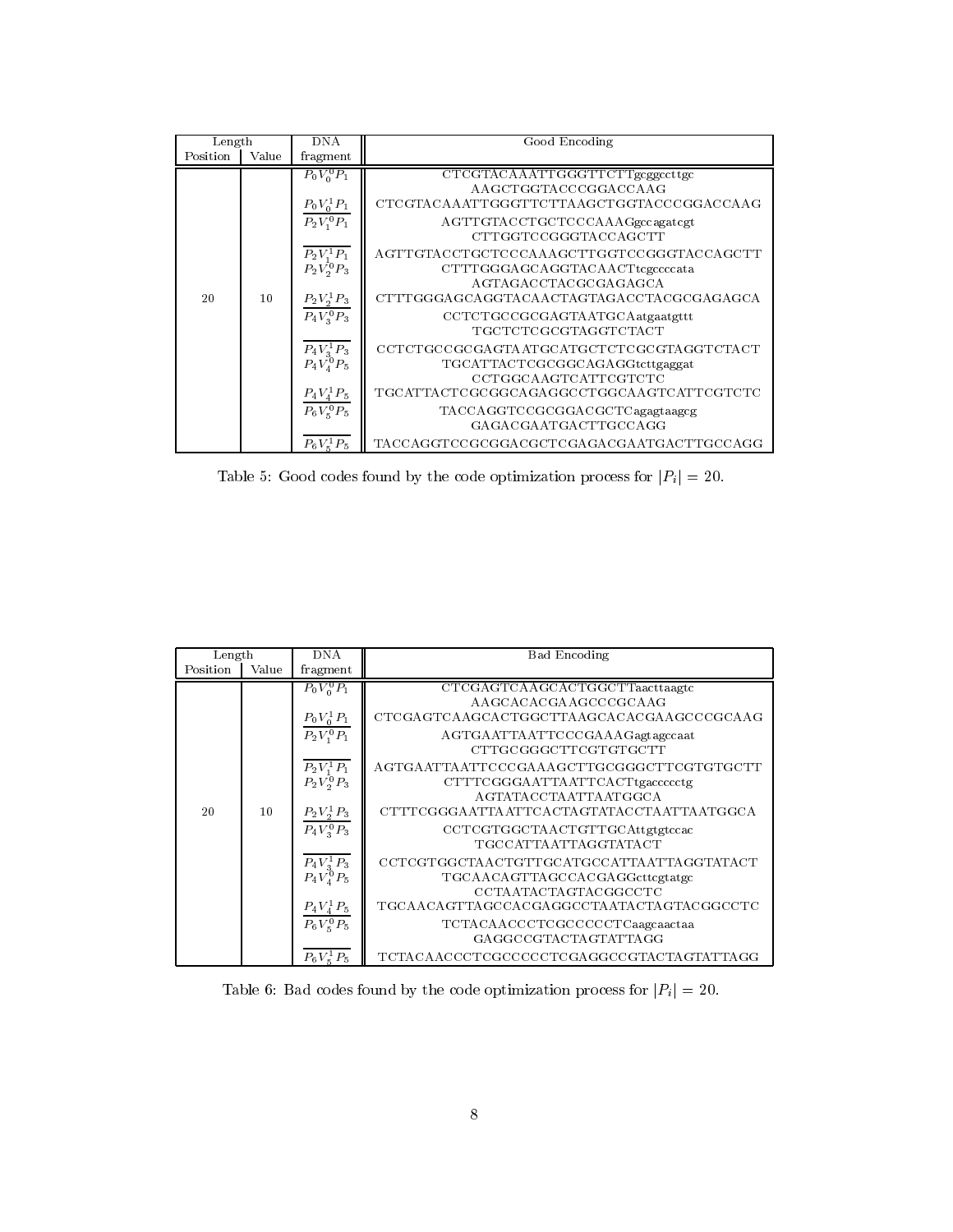| Length   |       | <b>DNA</b>                            | Good Encoding                            |
|----------|-------|---------------------------------------|------------------------------------------|
| Position | Value | fragment                              |                                          |
|          |       | $P_0V_0^0P_1$                         | CTCGTACAAATTGGGTTCTTgcggccttgc           |
|          |       |                                       | AAGCTGGTACCCGGACCAAG                     |
|          |       |                                       | CTCGTACAAATTGGGTTCTTAAGCTGGTACCCGGACCAAG |
|          |       | $\frac{P_0 V_0^1 P_1}{P_2 V_1^0 P_1}$ | AGTTGTACCTGCTCCCAAAGgccagatcgt           |
|          |       |                                       | CTTGGTCCGGGTACCAGCTT                     |
|          |       | $P_2V_1^1P_1$                         | AGTTGTACCTGCTCCCAAAGCTTGGTCCGGGTACCAGCTT |
|          |       | $P_2V_2^0P_3$                         | CTTTGGGAGCAGGTACAACTtcgccccata           |
|          |       |                                       | AGTAGACCTACGCGAGAGCA                     |
| 20       | 10    | $P_2V_2^1P_3$                         | CTTTGGGAGCAGGTACAACTAGTAGACCTACGCGAGAGCA |
|          |       | $P_4V_3^0P_3$                         | CCTCTGCCGCGAGTAATGCAatgaatgttt           |
|          |       |                                       | TGCTCTCGCGTAGGTCTACT                     |
|          |       | $P_4V_3^1P_3$                         | CCTCTGCCGCGAGTAATGCATGCTCTCGCGTAGGTCTACT |
|          |       | $P_4V_4^0P_5$                         | TGCATTACTCGCGGCAGAGGtcttgaggat           |
|          |       |                                       | CCTGGCAAGTCATTCGTCTC                     |
|          |       | $P_4V_4^1P_5$                         | TGCATTACTCGCGGCAGAGGCCTGGCAAGTCATTCGTCTC |
|          |       | $P_6V_5^0P_5$                         | TACCAGGTCCGCGGACGCTCagagtaagcg           |
|          |       |                                       | GAGACGAATGACTTGCCAGG                     |
|          |       | $P_6V_{\varepsilon}^1P_5$             | TACCAGGTCCGCGGACGCTCGAGACGAATGACTTGCCAGG |

Table 5: Good codes found by the code optimization process for  $|P_i| = 20$ .

| Length   |       | DN A                                         | <b>Bad Encoding</b>                      |
|----------|-------|----------------------------------------------|------------------------------------------|
| Position | Value | fragment                                     |                                          |
|          |       | $P_0V_0^0P_1$                                | CTCGAGTCAAGCACTGGCTTaacttaagtc           |
|          |       |                                              | AAGCACACGAAGCCCGCAAG                     |
|          |       | $P_0V_0^1P_1$                                | CTCGAGTCAAGCACTGGCTTAAGCACACGAAGCCCGCAAG |
|          |       | $P_2V_1^0P_1$                                | AGTGAATTAATTCCCGAAAGagtagccaat           |
|          |       |                                              | CTTGCGGGCTTCGTGTGCTT                     |
|          |       | $P_2V_1^1P_1$                                | AGTGAATTAATTCCCGAAAGCTTGCGGGCTTCGTGTGCTT |
|          |       | $P_2V_2^0P_3$                                | CTTTCGGGAATTAATTCACTtgaccccctg           |
|          |       |                                              | AGTATACCTAATTAATGGCA                     |
| 20       | 10    | $P_2V_2^1P_3$                                | CTTTCGGGAATTAATTCACTAGTATACCTAATTAATGGCA |
|          |       | $P_4V_3^0P_3$                                | CCTCGTGGCTAACTGTTGCAttgtgtccac           |
|          |       |                                              | TGCCATTAATTAGGTATACT                     |
|          |       | $\frac{\overline{P_4V_3^1P_3}}{P_4V_4^0P_5}$ | CCTCGTGGCTAACTGTTGCATGCCATTAATTAGGTATACT |
|          |       |                                              | TGCAACAGTTAGCCACGAGGcttcgtatgc           |
|          |       |                                              | CCTA ATACTAGTACGGCCTC                    |
|          |       | $P_4V_4^1P_5$                                | TGCAACAGTTAGCCACGAGGCCTAATACTAGTACGGCCTC |
|          |       | $P_6V_5^0P_5$                                | TCTACAACCCTCGCCCCCTCaagcaactaa           |
|          |       |                                              | GAGGCCGTACTAGTATTAGG                     |
|          |       | $P_6V_\kappa^1P_5$                           | TCTACAACCCTCGCCCCCTCGAGGCCGTACTAGTATTAGG |

Table 6: Bad codes found by the code optimization process for  $|P_i| = 20$ .